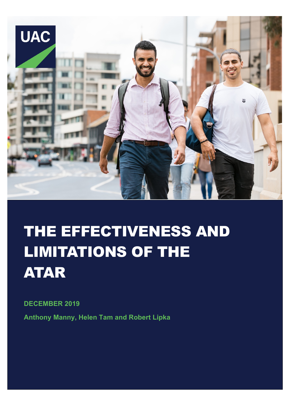

# THE EFFECTIVENESS AND LIMITATIONS OF THE ATAR

**DECEMBER 2019**

**Anthony Manny, Helen Tam and Robert Lipka**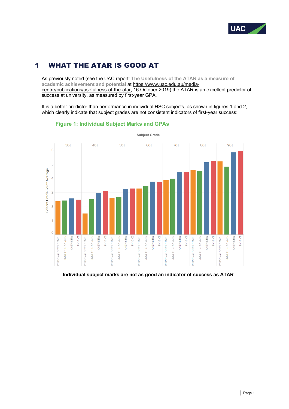

# 1 WHAT THE ATAR IS GOOD AT

As previously noted (see the UAC report: **The Usefulness of the ATAR as a measure of academic achievement and potential** at https://www.uac.edu.au/mediacentre/publications/usefulness-of-the-atar, 16 October 2019) the ATAR is an excellent predictor of success at university, as measured by first-year GPA.

It is a better predictor than performance in individual HSC subjects, as shown in figures 1 and 2, which clearly indicate that subject grades are not consistent indicators of first-year success:



## **Figure 1: Individual Subject Marks and GPAs**

**Individual subject marks are not as good an indicator of success as ATAR**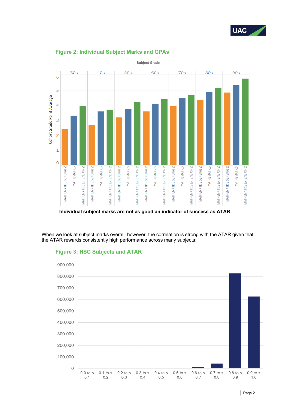



## **Figure 2: Individual Subject Marks and GPAs**

**Individual subject marks are not as good an indicator of success as ATAR**

When we look at subject marks overall, however, the correlation is strong with the ATAR given that the ATAR rewards consistently high performance across many subjects:

## **Figure 3: HSC Subjects and ATAR**

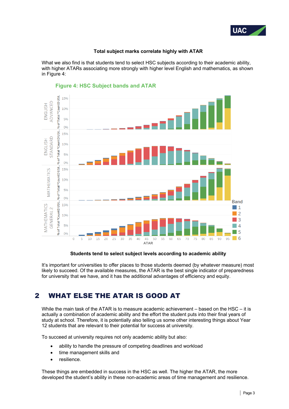

#### **Total subject marks correlate highly with ATAR**

What we also find is that students tend to select HSC subjects according to their academic ability, with higher ATARs associating more strongly with higher level English and mathematics, as shown in Figure 4:



## **Figure 4: HSC Subject bands and ATAR**

#### **Students tend to select subject levels according to academic ability**

It's important for universities to offer places to those students deemed (by whatever measure) most likely to succeed. Of the available measures, the ATAR is the best single indicator of preparedness for university that we have, and it has the additional advantages of efficiency and equity.

# 2 WHAT ELSE THE ATAR IS GOOD AT

While the main task of the ATAR is to measure academic achievement – based on the HSC – it is actually a combination of academic ability and the effort the student puts into their final years of study at school. Therefore, it is potentially also telling us some other interesting things about Year 12 students that are relevant to their potential for success at university.

To succeed at university requires not only academic ability but also:

- ability to handle the pressure of competing deadlines and workload
- time management skills and
- resilience.

These things are embedded in success in the HSC as well. The higher the ATAR, the more developed the student's ability in these non-academic areas of time management and resilience.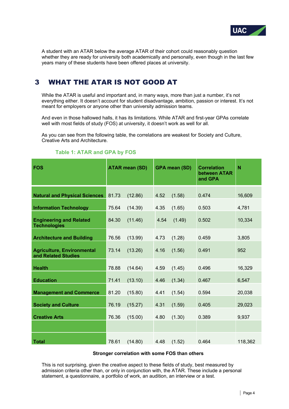

A student with an ATAR below the average ATAR of their cohort could reasonably question whether they are ready for university both academically and personally, even though in the last few years many of these students have been offered places at university.

# 3 WHAT THE ATAR IS NOT GOOD AT

While the ATAR is useful and important and, in many ways, more than just a number, it's not everything either. It doesn't account for student disadvantage, ambition, passion or interest. It's not meant for employers or anyone other than university admission teams.

And even in those hallowed halls, it has its limitations. While ATAR and first-year GPAs correlate well with most fields of study (FOS) at university, it doesn't work as well for all.

As you can see from the following table, the correlations are weakest for Society and Culture, Creative Arts and Architecture.

| <b>FOS</b>                                               | <b>ATAR mean (SD)</b> |         | <b>GPA mean (SD)</b> |        | <b>Correlation</b><br>between ATAR<br>and GPA | N       |
|----------------------------------------------------------|-----------------------|---------|----------------------|--------|-----------------------------------------------|---------|
| <b>Natural and Physical Sciences</b>                     | 81.73                 | (12.86) | 4.52                 | (1.58) | 0.474                                         | 16,609  |
| <b>Information Technology</b>                            | 75.64                 | (14.39) | 4.35                 | (1.65) | 0.503                                         | 4,781   |
| <b>Engineering and Related</b><br><b>Technologies</b>    | 84.30                 | (11.46) | 4.54                 | (1.49) | 0.502                                         | 10,334  |
| <b>Architecture and Building</b>                         | 76.56                 | (13.99) | 4.73                 | (1.28) | 0.459                                         | 3,805   |
| <b>Agriculture, Environmental</b><br>and Related Studies | 73.14                 | (13.26) | 4.16                 | (1.56) | 0.491                                         | 952     |
| <b>Health</b>                                            | 78.88                 | (14.64) | 4.59                 | (1.45) | 0.496                                         | 16,329  |
| <b>Education</b>                                         | 71.41                 | (13.10) | 4.46                 | (1.34) | 0.467                                         | 6,547   |
| <b>Management and Commerce</b>                           | 81.20                 | (15.80) | 4.41                 | (1.54) | 0.594                                         | 20,038  |
| <b>Society and Culture</b>                               | 76.19                 | (15.27) | 4.31                 | (1.59) | 0.405                                         | 29,023  |
| <b>Creative Arts</b>                                     | 76.36                 | (15.00) | 4.80                 | (1.30) | 0.389                                         | 9,937   |
|                                                          |                       |         |                      |        |                                               |         |
| <b>Total</b>                                             | 78.61                 | (14.80) | 4.48                 | (1.52) | 0.464                                         | 118,362 |

## **Table 1: ATAR and GPA by FOS**

#### **Stronger correlation with some FOS than others**

This is not surprising, given the creative aspect to these fields of study, best measured by admission criteria other than, or only in conjunction with, the ATAR. These include a personal statement, a questionnaire, a portfolio of work, an audition, an interview or a test.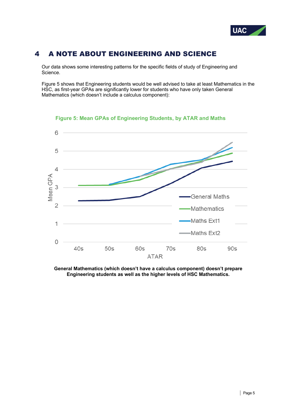

# 4 A NOTE ABOUT ENGINEERING AND SCIENCE

Our data shows some interesting patterns for the specific fields of study of Engineering and Science.

Figure 5 shows that Engineering students would be well advised to take at least Mathematics in the HSC, as first-year GPAs are significantly lower for students who have only taken General Mathematics (which doesn't include a calculus component):



**Figure 5: Mean GPAs of Engineering Students, by ATAR and Maths**

**General Mathematics (which doesn't have a calculus component) doesn't prepare Engineering students as well as the higher levels of HSC Mathematics.**